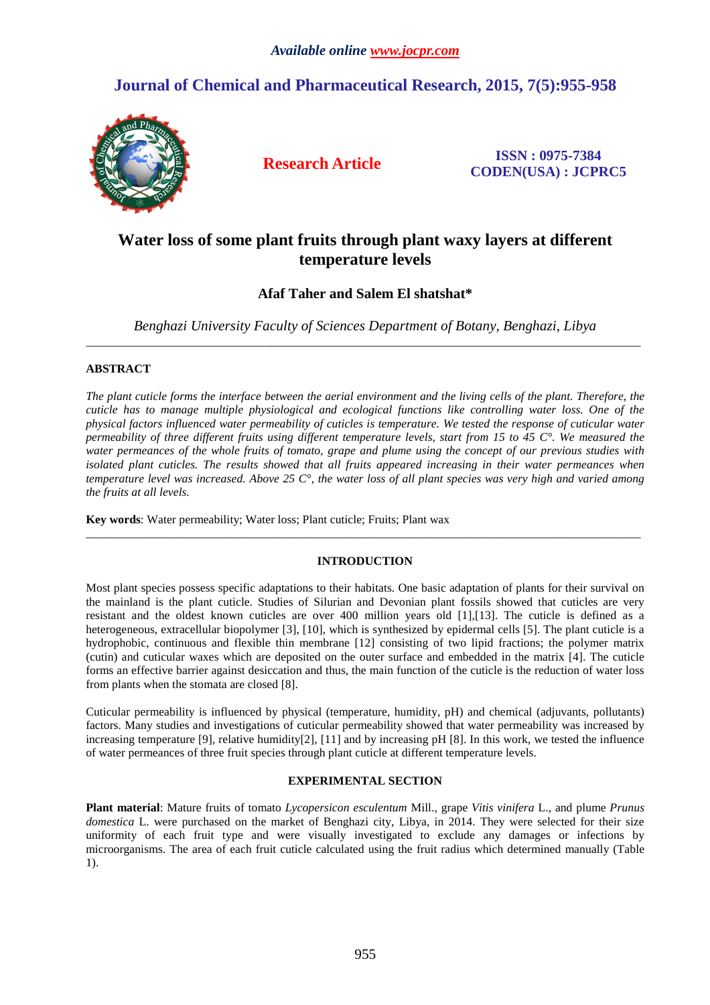# **Journal of Chemical and Pharmaceutical Research, 2015, 7(5):955-958**



**Research Article ISSN : 0975-7384 CODEN(USA) : JCPRC5**

# **Water loss of some plant fruits through plant waxy layers at different temperature levels**

# **Afaf Taher and Salem El shatshat\***

*Benghazi University Faculty of Sciences Department of Botany, Benghazi, Libya*  \_\_\_\_\_\_\_\_\_\_\_\_\_\_\_\_\_\_\_\_\_\_\_\_\_\_\_\_\_\_\_\_\_\_\_\_\_\_\_\_\_\_\_\_\_\_\_\_\_\_\_\_\_\_\_\_\_\_\_\_\_\_\_\_\_\_\_\_\_\_\_\_\_\_\_\_\_\_\_\_\_\_\_\_\_\_\_\_\_\_\_\_\_

# **ABSTRACT**

*The plant cuticle forms the interface between the aerial environment and the living cells of the plant. Therefore, the cuticle has to manage multiple physiological and ecological functions like controlling water loss. One of the physical factors influenced water permeability of cuticles is temperature. We tested the response of cuticular water permeability of three different fruits using different temperature levels, start from 15 to 45 C°. We measured the water permeances of the whole fruits of tomato, grape and plume using the concept of our previous studies with isolated plant cuticles. The results showed that all fruits appeared increasing in their water permeances when temperature level was increased. Above 25 C°, the water loss of all plant species was very high and varied among the fruits at all levels.* 

**Key words**: Water permeability; Water loss; Plant cuticle; Fruits; Plant wax

# **INTRODUCTION**

 $\overline{a}$  , and the contribution of the contribution of the contribution of the contribution of the contribution of the contribution of the contribution of the contribution of the contribution of the contribution of the co

Most plant species possess specific adaptations to their habitats. One basic adaptation of plants for their survival on the mainland is the plant cuticle. Studies of Silurian and Devonian plant fossils showed that cuticles are very resistant and the oldest known cuticles are over 400 million years old [1],[13]. The cuticle is defined as a heterogeneous, extracellular biopolymer [3], [10], which is synthesized by epidermal cells [5]. The plant cuticle is a hydrophobic, continuous and flexible thin membrane [12] consisting of two lipid fractions; the polymer matrix (cutin) and cuticular waxes which are deposited on the outer surface and embedded in the matrix [4]. The cuticle forms an effective barrier against desiccation and thus, the main function of the cuticle is the reduction of water loss from plants when the stomata are closed [8].

Cuticular permeability is influenced by physical (temperature, humidity, pH) and chemical (adjuvants, pollutants) factors. Many studies and investigations of cuticular permeability showed that water permeability was increased by increasing temperature [9], relative humidity[2], [11] and by increasing  $pH$  [8]. In this work, we tested the influence of water permeances of three fruit species through plant cuticle at different temperature levels.

# **EXPERIMENTAL SECTION**

**Plant material**: Mature fruits of tomato *Lycopersicon esculentum* Mill., grape *Vitis vinifera* L., and plume *Prunus domestica* L. were purchased on the market of Benghazi city, Libya, in 2014. They were selected for their size uniformity of each fruit type and were visually investigated to exclude any damages or infections by microorganisms. The area of each fruit cuticle calculated using the fruit radius which determined manually (Table 1).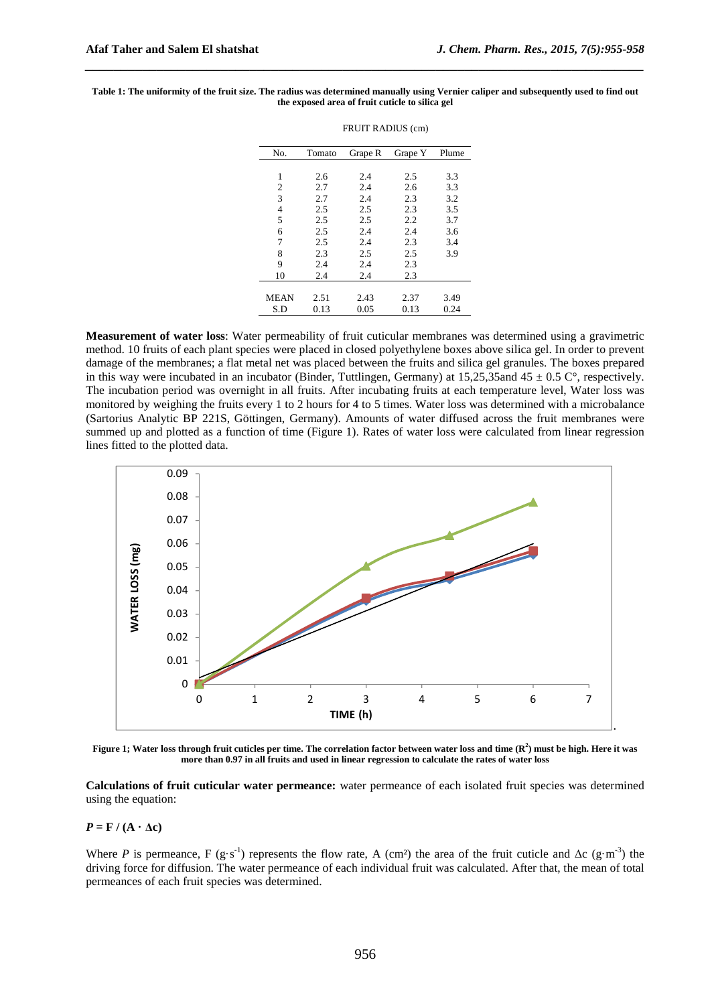| No.            | Tomato | Grape R | Grape Y | Plume |
|----------------|--------|---------|---------|-------|
|                |        |         |         |       |
| 1              | 2.6    | 2.4     | 2.5     | 3.3   |
| 2              | 2.7    | 2.4     | 2.6     | 3.3   |
| 3              | 2.7    | 2.4     | 2.3     | 3.2   |
| $\overline{4}$ | 2.5    | 2.5     | 2.3     | 3.5   |
| 5              | 2.5    | 2.5     | 2.2     | 3.7   |
| 6              | 2.5    | 2.4     | 2.4     | 3.6   |
| 7              | 2.5    | 2.4     | 2.3     | 3.4   |
| 8              | 2.3    | 2.5     | 2.5     | 3.9   |
| 9              | 2.4    | 2.4     | 2.3     |       |
| 10             | 2.4    | 2.4     | 2.3     |       |
|                |        |         |         |       |
| <b>MEAN</b>    | 2.51   | 2.43    | 2.37    | 3.49  |
| S.D            | 0.13   | 0.05    | 0.13    | 0.24  |

#### **Table 1: The uniformity of the fruit size. The radius was determined manually using Vernier caliper and subsequently used to find out the exposed area of fruit cuticle to silica gel**

FRUIT RADIUS (cm)

*\_\_\_\_\_\_\_\_\_\_\_\_\_\_\_\_\_\_\_\_\_\_\_\_\_\_\_\_\_\_\_\_\_\_\_\_\_\_\_\_\_\_\_\_\_\_\_\_\_\_\_\_\_\_\_\_\_\_\_\_\_\_\_\_\_\_\_\_\_\_\_\_\_\_\_\_\_\_*

**Measurement of water loss**: Water permeability of fruit cuticular membranes was determined using a gravimetric method. 10 fruits of each plant species were placed in closed polyethylene boxes above silica gel. In order to prevent damage of the membranes; a flat metal net was placed between the fruits and silica gel granules. The boxes prepared in this way were incubated in an incubator (Binder, Tuttlingen, Germany) at  $15,25,35$  and  $45 \pm 0.5$  C°, respectively. The incubation period was overnight in all fruits. After incubating fruits at each temperature level, Water loss was monitored by weighing the fruits every 1 to 2 hours for 4 to 5 times. Water loss was determined with a microbalance (Sartorius Analytic BP 221S, Göttingen, Germany). Amounts of water diffused across the fruit membranes were summed up and plotted as a function of time (Figure 1). Rates of water loss were calculated from linear regression lines fitted to the plotted data.



**Figure 1; Water loss through fruit cuticles per time. The correlation factor between water loss and time (R<sup>2</sup> ) must be high. Here it was more than 0.97 in all fruits and used in linear regression to calculate the rates of water loss** 

**Calculations of fruit cuticular water permeance:** water permeance of each isolated fruit species was determined using the equation:

 $P = F / (A \cdot \Delta c)$ 

Where *P* is permeance, F (g·s<sup>-1</sup>) represents the flow rate, A (cm<sup>2</sup>) the area of the fruit cuticle and ∆c (g·m<sup>-3</sup>) the driving force for diffusion. The water permeance of each individual fruit was calculated. After that, the mean of total permeances of each fruit species was determined.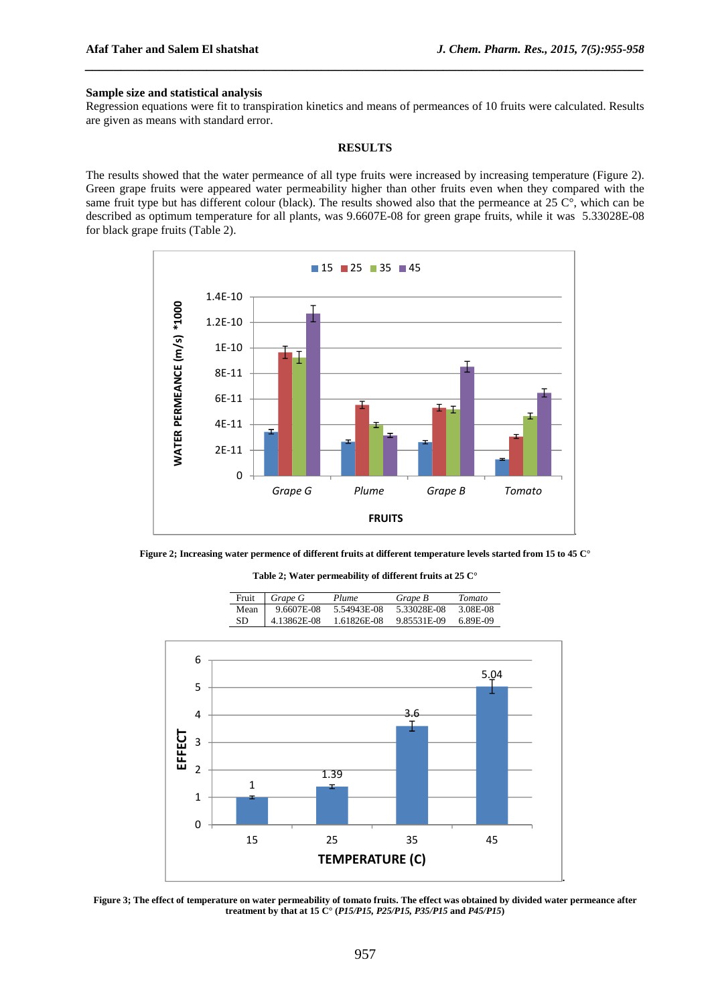#### **Sample size and statistical analysis**

Regression equations were fit to transpiration kinetics and means of permeances of 10 fruits were calculated. Results are given as means with standard error.

*\_\_\_\_\_\_\_\_\_\_\_\_\_\_\_\_\_\_\_\_\_\_\_\_\_\_\_\_\_\_\_\_\_\_\_\_\_\_\_\_\_\_\_\_\_\_\_\_\_\_\_\_\_\_\_\_\_\_\_\_\_\_\_\_\_\_\_\_\_\_\_\_\_\_\_\_\_\_*

#### **RESULTS**

The results showed that the water permeance of all type fruits were increased by increasing temperature (Figure 2). Green grape fruits were appeared water permeability higher than other fruits even when they compared with the same fruit type but has different colour (black). The results showed also that the permeance at  $25 \degree$ , which can be described as optimum temperature for all plants, was 9.6607E-08 for green grape fruits, while it was 5.33028E-08 for black grape fruits (Table 2).



**Figure 2; Increasing water permence of different fruits at different temperature levels started from 15 to 45 C°** 

**Table 2; Water permeability of different fruits at 25 C°** 

| Fruit  | $G$ Grape $G$ | Plume       | Grape B     | <b>Tomato</b> |
|--------|---------------|-------------|-------------|---------------|
| Mean 1 | 9.6607E-08    | 5.54943E-08 | 5.33028E-08 | 3.08E-08      |
| SD.    | 4.13862E-08   | 1.61826E-08 | 9.85531E-09 | 6.89E-09      |



**Figure 3; The effect of temperature on water permeability of tomato fruits. The effect was obtained by divided water permeance after treatment by that at 15 C° (***P15/P15, P25/P15, P35/P15* **and** *P45/P15***)**